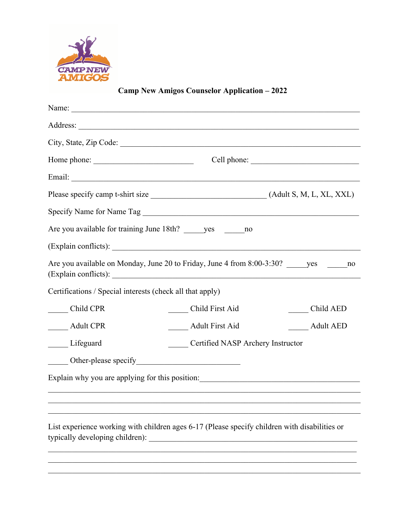

**Camp New Amigos Counselor Application – 2022**

| Are you available for training June 18th? yes no                                                                                 |                                   |                  |
|----------------------------------------------------------------------------------------------------------------------------------|-----------------------------------|------------------|
| (Explain conflicts):                                                                                                             |                                   |                  |
| Are you available on Monday, June 20 to Friday, June 4 from 8:00-3:30? _______yes ___________no                                  |                                   |                  |
| Certifications / Special interests (check all that apply)                                                                        |                                   |                  |
| Child CPR                                                                                                                        | Child First Aid                   | Child AED        |
| ____ Adult CPR                                                                                                                   | <b>Adult First Aid</b>            | <b>Adult AED</b> |
| _____ Lifeguard                                                                                                                  | Certified NASP Archery Instructor |                  |
|                                                                                                                                  |                                   |                  |
| Explain why you are applying for this position: _________________________________                                                |                                   |                  |
|                                                                                                                                  |                                   |                  |
|                                                                                                                                  |                                   |                  |
| List experience working with children ages 6-17 (Please specify children with disabilities or<br>typically developing children): |                                   |                  |
|                                                                                                                                  |                                   |                  |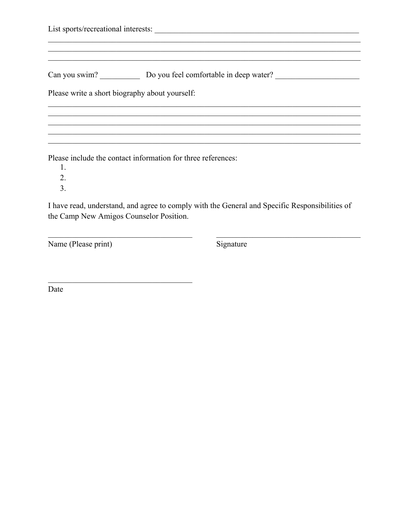|  | Can you swim? Do you feel comfortable in deep water?         |  |  |
|--|--------------------------------------------------------------|--|--|
|  | Please write a short biography about yourself:               |  |  |
|  |                                                              |  |  |
|  | Please include the contact information for three references: |  |  |

1.

 $\overline{2}$ .

 $\overline{3}$ .

I have read, understand, and agree to comply with the General and Specific Responsibilities of the Camp New Amigos Counselor Position.

Name (Please print)

Signature

Date